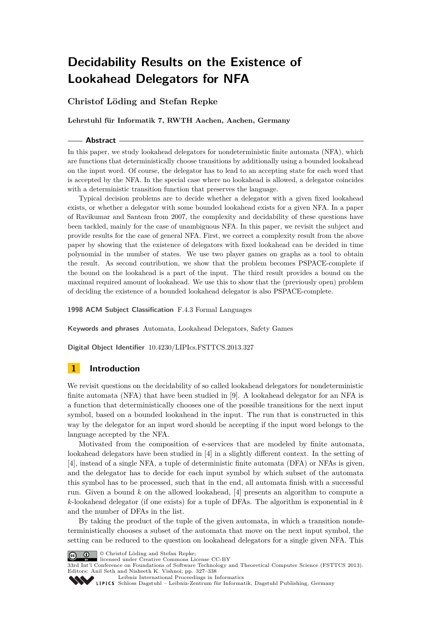# **Christof Löding and Stefan Repke**

**Lehrstuhl für Informatik 7, RWTH Aachen, Aachen, Germany**

### **Abstract**

In this paper, we study lookahead delegators for nondeterministic finite automata (NFA), which are functions that deterministically choose transitions by additionally using a bounded lookahead on the input word. Of course, the delegator has to lead to an accepting state for each word that is accepted by the NFA. In the special case where no lookahead is allowed, a delegator coincides with a deterministic transition function that preserves the language.

Typical decision problems are to decide whether a delegator with a given fixed lookahead exists, or whether a delegator with some bounded lookahead exists for a given NFA. In a paper of Ravikumar and Santean from 2007, the complexity and decidability of these questions have been tackled, mainly for the case of unambiguous NFA. In this paper, we revisit the subject and provide results for the case of general NFA. First, we correct a complexity result from the above paper by showing that the existence of delegators with fixed lookahead can be decided in time polynomial in the number of states. We use two player games on graphs as a tool to obtain the result. As second contribution, we show that the problem becomes PSPACE-complete if the bound on the lookahead is a part of the input. The third result provides a bound on the maximal required amount of lookahead. We use this to show that the (previously open) problem of deciding the existence of a bounded lookahead delegator is also PSPACE-complete.

**1998 ACM Subject Classification** F.4.3 Formal Languages

**Keywords and phrases** Automata, Lookahead Delegators, Safety Games

**Digital Object Identifier** [10.4230/LIPIcs.FSTTCS.2013.327](http://dx.doi.org/10.4230/LIPIcs.FSTTCS.2013.327)

# <span id="page-0-0"></span>**1 Introduction**

We revisit questions on the decidability of so called lookahead delegators for nondeterministic finite automata (NFA) that have been studied in [\[9\]](#page-11-0). A lookahead delegator for an NFA is a function that deterministically chooses one of the possible transitions for the next input symbol, based on a bounded lookahead in the input. The run that is constructed in this way by the delegator for an input word should be accepting if the input word belongs to the language accepted by the NFA.

Motivated from the composition of e-services that are modeled by finite automata, lookahead delegators have been studied in [\[4\]](#page-11-1) in a slightly different context. In the setting of [\[4\]](#page-11-1), instead of a single NFA, a tuple of deterministic finite automata (DFA) or NFAs is given, and the delegator has to decide for each input symbol by which subset of the automata this symbol has to be processed, such that in the end, all automata finish with a successful run. Given a bound *k* on the allowed lookahead, [\[4\]](#page-11-1) presents an algorithm to compute a *k*-lookahead delegator (if one exists) for a tuple of DFAs. The algorithm is exponential in *k* and the number of DFAs in the list.

By taking the product of the tuple of the given automata, in which a transition nondeterministically chooses a subset of the automata that move on the next input symbol, the setting can be reduced to the question on lookahead delegators for a single given NFA. This



© Christof Löding and Stefan Repke; licensed under Creative Commons License CC-BY

33rd Int'l Conference on Foundations of Software Technology and Theoretical Computer Science (FSTTCS 2013). Editors: Anil Seth and Nisheeth K. Vishnoi; pp. 327[–338](#page-11-2)

[Leibniz International Proceedings in Informatics](http://www.dagstuhl.de/lipics/)

[Schloss Dagstuhl – Leibniz-Zentrum für Informatik, Dagstuhl Publishing, Germany](http://www.dagstuhl.de)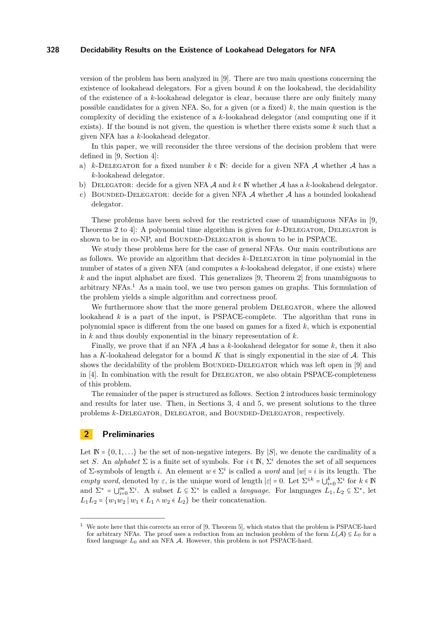version of the problem has been analyzed in [\[9\]](#page-11-0). There are two main questions concerning the existence of lookahead delegators. For a given bound *k* on the lookahead, the decidability of the existence of a *k*-lookahead delegator is clear, because there are only finitely many possible candidates for a given NFA. So, for a given (or a fixed) *k*, the main question is the complexity of deciding the existence of a *k*-lookahead delegator (and computing one if it exists). If the bound is not given, the question is whether there exists some *k* such that a given NFA has a *k*-lookahead delegator.

In this paper, we will reconsider the three versions of the decision problem that were defined in [\[9,](#page-11-0) Section 4]:

- a) *k*-DELEGATOR for a fixed number  $k \in \mathbb{N}$ : decide for a given NFA A whether A has a *k*-lookahead delegator.
- b) DELEGATOR: decide for a given NFA  $\mathcal A$  and  $k \in \mathbb N$  whether  $\mathcal A$  has a  $k$ -lookahead delegator.
- c) BOUNDED-DELEGATOR: decide for a given NFA  $\mathcal A$  whether  $\mathcal A$  has a bounded lookahead delegator.

These problems have been solved for the restricted case of unambiguous NFAs in [\[9,](#page-11-0) Theorems 2 to 4. A polynomial time algorithm is given for *k*-DELEGATOR, DELEGATOR is shown to be in co-NP, and BOUNDED-DELEGATOR is shown to be in PSPACE.

We study these problems here for the case of general NFAs. Our main contributions are as follows. We provide an algorithm that decides *k*-Delegator in time polynomial in the number of states of a given NFA (and computes a *k*-lookahead delegator, if one exists) where *k* and the input alphabet are fixed. This generalizes [\[9,](#page-11-0) Theorem 2] from unambiguous to arbitrary  $NFAs<sup>1</sup>$  $NFAs<sup>1</sup>$  $NFAs<sup>1</sup>$  As a main tool, we use two person games on graphs. This formulation of the problem yields a simple algorithm and correctness proof.

We furthermore show that the more general problem DELEGATOR, where the allowed lookahead *k* is a part of the input, is PSPACE-complete. The algorithm that runs in polynomial space is different from the one based on games for a fixed *k*, which is exponential in *k* and thus doubly exponential in the binary representation of *k*.

Finally, we prove that if an NFA  $\mathcal A$  has a  $k$ -lookahead delegator for some  $k$ , then it also has a *K*-lookahead delegator for a bound *K* that is singly exponential in the size of A. This shows the decidability of the problem BOUNDED-DELEGATOR which was left open in [\[9\]](#page-11-0) and in [\[4\]](#page-11-1). In combination with the result for DELEGATOR, we also obtain PSPACE-completeness of this problem.

The remainder of the paper is structured as follows. Section [2](#page-1-1) introduces basic terminology and results for later use. Then, in Sections [3,](#page-3-0) [4](#page-7-0) and [5,](#page-9-0) we present solutions to the three problems *k*-DELEGATOR, DELEGATOR, and BOUNDED-DELEGATOR, respectively.

## <span id="page-1-1"></span>**2 Preliminaries**

Let  $\mathbb{N} = \{0, 1, \ldots\}$  be the set of non-negative integers. By |*S*|, we denote the cardinality of a set *S*. An *alphabet*  $\Sigma$  is a finite set of symbols. For  $i \in \mathbb{N}$ ,  $\Sigma^i$  denotes the set of all sequences of  $\Sigma$ -symbols of length *i*. An element  $w \in \Sigma^i$  is called a *word* and  $|w| = i$  is its length. The *empty word*, denoted by  $\varepsilon$ , is the unique word of length  $|\varepsilon| = 0$ . Let  $\Sigma^{\leq k} = \bigcup_{i=0}^{k} \Sigma^{i}$  for  $k \in \mathbb{N}$ and  $\Sigma^* = \bigcup_{i=0}^{\infty} \Sigma^i$ . A subset  $L \subseteq \Sigma^*$  is called a *language*. For languages  $L_1, L_2 \subseteq \Sigma^*$ , let *L*<sub>1</sub>*L*<sub>2</sub> = {*w*<sub>1</sub>*w*<sub>2</sub> | *w*<sub>1</sub> ∈ *L*<sub>1</sub> ∧ *w*<sub>2</sub> ∈ *L*<sub>2</sub>} be their concatenation.

<span id="page-1-0"></span>We note here that this corrects an error of [\[9,](#page-11-0) Theorem 5], which states that the problem is PSPACE-hard for arbitrary NFAs. The proof uses a reduction from an inclusion problem of the form  $L(\mathcal{A}) \subseteq L_0$  for a fixed language *L*<sup>0</sup> and an NFA A. However, this problem is not PSPACE-hard.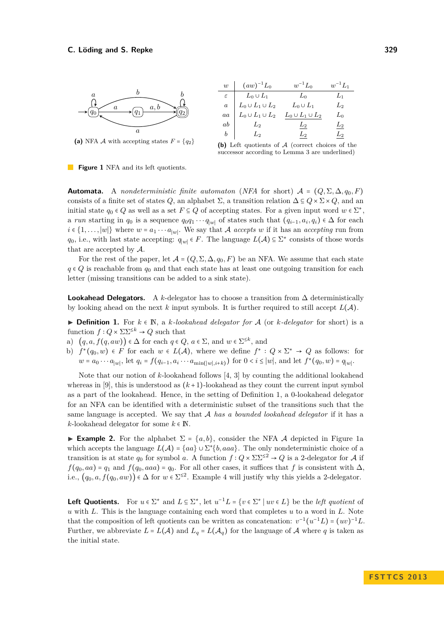<span id="page-2-1"></span>

<span id="page-2-3"></span>

| w              | $(aw)^{-1}L_0$          | $w^{-1}L_0$             | $w^{-1}L_1$    |
|----------------|-------------------------|-------------------------|----------------|
| $\varepsilon$  | $L_0 \cup L_1$          | $L_0$                   | $L_1$          |
| $\overline{a}$ | $L_0\cup L_1\cup L_2$   | $L_0 \cup L_1$          | L <sub>2</sub> |
| aa             | $L_0 \cup L_1 \cup L_2$ | $L_0 \cup L_1 \cup L_2$ | $L_0$          |
| ab             | $L_{\rm 2}$             | $L_2$                   | $L_2$          |
| b              | $L_2$                   | $L_2$                   | $L_{2}$        |

**(b)** Left quotients of A (correct choices of the successor according to Lemma [3](#page-3-1) are underlined)



**Automata.** A *nondeterministic finite automaton* (*NFA* for short)  $A = (Q, \Sigma, \Delta, q_0, F)$ consists of a finite set of states *Q*, an alphabet  $\Sigma$ , a transition relation  $\Delta \subseteq Q \times \Sigma \times Q$ , and an initial state  $q_0 \in Q$  as well as a set  $F \subseteq Q$  of accepting states. For a given input word  $w \in \Sigma^*$ , a *run* starting in  $q_0$  is a sequence  $q_0q_1 \cdots q_{|w|}$  of states such that  $(q_{i-1}, a_i, q_i) \in \Delta$  for each  $i \in \{1, \ldots, |w|\}$  where  $w = a_1 \cdots a_{|w|}$ . We say that A *accepts*  $w$  if it has an *accepting* run from *q*<sub>0</sub>, i.e., with last state accepting:  $q_{|w|}$  ∈ *F*. The language  $L(A) \subseteq \Sigma^*$  consists of those words that are accepted by A.

For the rest of the paper, let  $\mathcal{A} = (Q, \Sigma, \Delta, q_0, F)$  be an NFA. We assume that each state  $q \in Q$  is reachable from  $q_0$  and that each state has at least one outgoing transition for each letter (missing transitions can be added to a sink state).

**Lookahead Delegators.** A *k*-delegator has to choose a transition from  $\Delta$  deterministically by looking ahead on the next k input symbols. It is further required to still accept  $L(\mathcal{A})$ .

<span id="page-2-0"></span>**► Definition 1.** For  $k \in \mathbb{N}$ , a *k*-lookahead delegator for A (or *k*-delegator for short) is a function  $f: Q \times \Sigma \Sigma^{\leq k} \to Q$  such that

- a)  $(q, a, f(q, aw)) \in \Delta$  for each  $q \in Q$ ,  $a \in \Sigma$ , and  $w \in \Sigma^{\leq k}$ , and
- b)  $f^*(q_0, w) \in F$  for each  $w \in L(\mathcal{A})$ , where we define  $f^* : Q \times \Sigma^* \to Q$  as follows: for  $w = a_0 \cdots a_{|w|}$ , let  $q_i = f(q_{i-1}, a_i \cdots a_{\min(|w|, i+k)})$  for  $0 < i \le |w|$ , and let  $f^*(q_0, w) = q_{|w|}$ .

Note that our notion of *k*-lookahead follows [\[4,](#page-11-1) [3\]](#page-11-3) by counting the additional lookahead whereas in [\[9\]](#page-11-0), this is understood as  $(k+1)$ -lookahead as they count the current input symbol as a part of the lookahead. Hence, in the setting of Definition [1,](#page-2-0) a 0-lookahead delegator for an NFA can be identified with a deterministic subset of the transitions such that the same language is accepted. We say that A *has a bounded lookahead delegator* if it has a *k*-lookahead delegator for some  $k \in \mathbb{N}$ .

<span id="page-2-2"></span>**Example 2.** For the alphabet  $\Sigma = \{a, b\}$ , consider the NFA A depicted in Figure [1a](#page-2-1) which accepts the language  $L(\mathcal{A}) = \{aa\} \cup \Sigma^* \{b,aaa\}$ . The only nondeterministic choice of a transition is at state  $q_0$  for symbol *a*. A function  $f: Q \times \Sigma \Sigma^{\leq 2} \to Q$  is a 2-delegator for A if  $f(q_0, aa) = q_1$  and  $f(q_0, aaa) = q_0$ . For all other cases, it suffices that *f* is consistent with  $\Delta$ , i.e.,  $(q_0, a, f(q_0, aw)) \in \Delta$  for  $w \in \Sigma^{\leq 2}$ . Example [4](#page-3-2) will justify why this yields a 2-delegator.

**Left Quotients.** For  $u \in \Sigma^*$  and  $L \subseteq \Sigma^*$ , let  $u^{-1}L = \{v \in \Sigma^* \mid uv \in L\}$  be the *left quotient* of *u* with *L*. This is the language containing each word that completes *u* to a word in *L*. Note that the composition of left quotients can be written as concatenation:  $v^{-1}(u^{-1}L) = (uv)^{-1}L$ . Further, we abbreviate  $L = L(\mathcal{A})$  and  $L_q = L(\mathcal{A}_q)$  for the language of  $\mathcal A$  where  $q$  is taken as the initial state.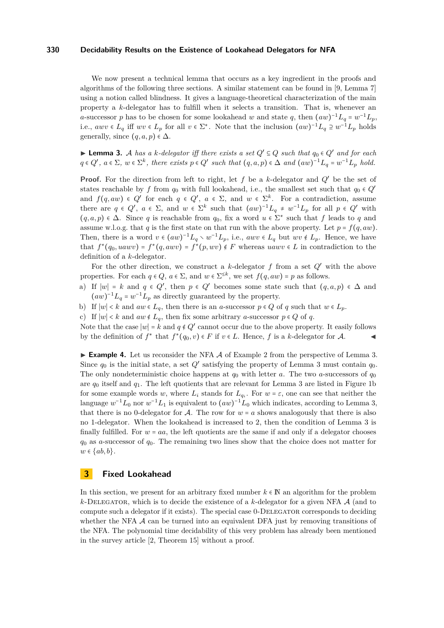We now present a technical lemma that occurs as a key ingredient in the proofs and algorithms of the following three sections. A similar statement can be found in [\[9,](#page-11-0) Lemma 7] using a notion called blindness. It gives a language-theoretical characterization of the main property a *k*-delegator has to fulfill when it selects a transition. That is, whenever an *a*-successor *p* has to be chosen for some lookahead *w* and state *q*, then  $(aw)^{-1}L_q = w^{-1}L_p$ , i.e.,  $awv \in L_q$  iff  $wv \in L_p$  for all  $v \in \Sigma^*$ . Note that the inclusion  $(aw)^{-1}L_q \supseteq w^{-1}L_p$  holds generally, since  $(q, a, p) \in \Delta$ .

<span id="page-3-1"></span>► **Lemma 3.** A *has a k*-delegator iff there exists a set  $Q' \subseteq Q$  such that  $q_0 \in Q'$  *and for each*  $q \in Q'$ ,  $a \in \Sigma$ ,  $w \in \Sigma^k$ , there exists  $p \in Q'$  such that  $(q, a, p) \in \Delta$  and  $(aw)^{-1}L_q = w^{-1}L_p$  hold.

**Proof.** For the direction from left to right, let *f* be a *k*-delegator and *Q*′ be the set of states reachable by *f* from  $q_0$  with full lookahead, i.e., the smallest set such that  $q_0 \in Q'$ and  $f(q, aw) \in Q'$  for each  $q \in Q'$ ,  $a \in \Sigma$ , and  $w \in \Sigma^k$ . For a contradiction, assume there are  $q \in Q'$ ,  $a \in \Sigma$ , and  $w \in \Sigma^k$  such that  $(aw)^{-1}L_q \neq w^{-1}L_p$  for all  $p \in Q'$  with  $(q, a, p) \in \Delta$ . Since *q* is reachable from  $q_0$ , fix a word  $u \in \Sigma^*$  such that *f* leads to *q* and assume w.l.o.g. that *q* is the first state on that run with the above property. Let  $p = f(q, aw)$ . Then, there is a word  $v \in (aw)^{-1}L_q \setminus w^{-1}L_p$ , i.e.,  $awv \in L_q$  but  $wv \notin L_p$ . Hence, we have that  $f^*(q_0, uawv) = f^*(q, awv) = f^*(p, wv) \notin F$  whereas  $uawv \in L$  in contradiction to the definition of a *k*-delegator.

For the other direction, we construct a *k*-delegator *f* from a set *Q*′ with the above properties. For each  $q \in Q$ ,  $a \in \Sigma$ , and  $w \in \Sigma^{\leq k}$ , we set  $f(q, aw) = p$  as follows.

- a) If  $|w| = k$  and  $q \in Q'$ , then  $p \in Q'$  becomes some state such that  $(q, a, p) \in \Delta$  and  $(aw)^{-1}L_q = w^{-1}L_p$  as directly guaranteed by the property.
- b) If  $|w| < k$  and  $aw \in L_q$ , then there is an *a*-successor  $p \in Q$  of  $q$  such that  $w \in L_p$ .
- c) If  $|w|$  < *k* and  $aw \notin L_q$ , then fix some arbitrary *a*-successor  $p \in Q$  of *q*.

Note that the case ∣*w*∣ = *k* and *q* ∉ *Q*′ cannot occur due to the above property. It easily follows by the definition of  $f^*$  that  $f^*(q_0, v) \in F$  if  $v \in L$ . Hence,  $f$  is a  $k$ -delegator for  $\mathcal{A}$ .

<span id="page-3-2"></span> $\triangleright$  **Example 4.** Let us reconsider the NFA  $\mathcal A$  of Example [2](#page-2-2) from the perspective of Lemma [3.](#page-3-1) Since *q*<sup>0</sup> is the initial state, a set *Q*′ satisfying the property of Lemma [3](#page-3-1) must contain *q*0. The only nondeterministic choice happens at  $q_0$  with letter *a*. The two *a*-successors of  $q_0$ are  $q_0$  itself and  $q_1$ . The left quotients that are relevant for Lemma [3](#page-3-1) are listed in Figure [1b](#page-2-3) for some example words *w*, where  $L_i$  stands for  $L_{q_i}$ . For  $w = \varepsilon$ , one can see that neither the language  $w^{-1}L_0$  nor  $w^{-1}L_1$  is equivalent to  $(aw)^{-1}L_0$  which indicates, according to Lemma [3,](#page-3-1) that there is no 0-delegator for A. The row for  $w = a$  shows analogously that there is also no 1-delegator. When the lookahead is increased to 2, then the condition of Lemma [3](#page-3-1) is finally fulfilled. For  $w = aa$ , the left quotients are the same if and only if a delegator chooses *q*<sup>0</sup> as *a*-successor of *q*0. The remaining two lines show that the choice does not matter for  $w \in \{ab, b\}.$ 

# <span id="page-3-0"></span>**3 Fixed Lookahead**

In this section, we present for an arbitrary fixed number  $k \in \mathbb{N}$  an algorithm for the problem  $k$ -DELEGATOR, which is to decide the existence of a  $k$ -delegator for a given NFA  $\mathcal A$  (and to compute such a delegator if it exists). The special case 0-Delegator corresponds to deciding whether the NFA  $\mathcal A$  can be turned into an equivalent DFA just by removing transitions of the NFA. The polynomial time decidability of this very problem has already been mentioned in the survey article [\[2,](#page-11-4) Theorem 15] without a proof.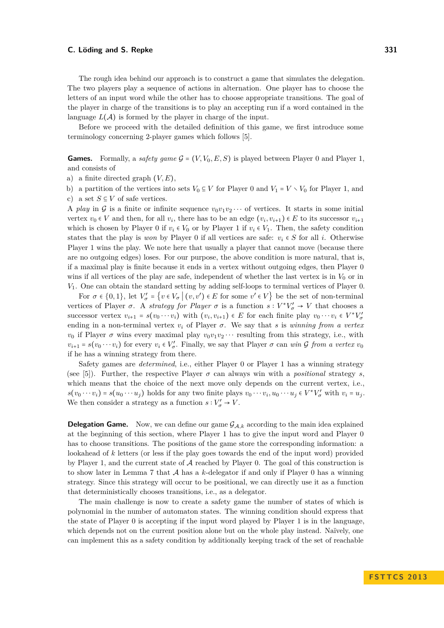### **C. Löding and S. Repke 331**

The rough idea behind our approach is to construct a game that simulates the delegation. The two players play a sequence of actions in alternation. One player has to choose the letters of an input word while the other has to choose appropriate transitions. The goal of the player in charge of the transitions is to play an accepting run if a word contained in the language  $L(\mathcal{A})$  is formed by the player in charge of the input.

Before we proceed with the detailed definition of this game, we first introduce some terminology concerning 2-player games which follows [\[5\]](#page-11-5).

**Games.** Formally, a *safety game*  $G = (V, V_0, E, S)$  is played between Player 0 and Player 1, and consists of

a) a finite directed graph  $(V, E)$ ,

b) a partition of the vertices into sets  $V_0 \subseteq V$  for Player 0 and  $V_1 = V \setminus V_0$  for Player 1, and c) a set  $S \subseteq V$  of safe vertices.

A *play* in G is a finite or infinite sequence  $v_0v_1v_2\cdots$  of vertices. It starts in some initial vertex  $v_0 \in V$  and then, for all  $v_i$ , there has to be an edge  $(v_i, v_{i+1}) \in E$  to its successor  $v_{i+1}$ which is chosen by Player 0 if  $v_i \in V_0$  or by Player 1 if  $v_i \in V_1$ . Then, the safety condition states that the play is *won* by Player 0 if all vertices are safe:  $v_i \in S$  for all *i*. Otherwise Player 1 wins the play. We note here that usually a player that cannot move (because there are no outgoing edges) loses. For our purpose, the above condition is more natural, that is, if a maximal play is finite because it ends in a vertex without outgoing edges, then Player 0 wins if all vertices of the play are safe, independent of whether the last vertex is in  $V_0$  or in *V*1. One can obtain the standard setting by adding self-loops to terminal vertices of Player 0.

For  $\sigma \in \{0,1\}$ , let  $V'_{\sigma} = \{v \in V_{\sigma} \mid (v, v') \in E \text{ for some } v' \in V\}$  be the set of non-terminal vertices of Player  $\sigma$ . A *strategy for Player*  $\sigma$  is a function  $s: V^*V'_{\sigma} \to V$  that chooses a successor vertex  $v_{i+1} = s(v_0 \cdots v_i)$  with  $(v_i, v_{i+1}) \in E$  for each finite play  $v_0 \cdots v_i \in V^*V'_\sigma$ ending in a non-terminal vertex  $v_i$  of Player  $\sigma$ . We say that *s* is *winning from a vertex v*<sub>0</sub> if Player  $\sigma$  wins every maximal play  $v_0v_1v_2\cdots$  resulting from this strategy, i.e., with  $v_{i+1} = s(v_0 \cdots v_i)$  for every  $v_i \in V'_\sigma$ . Finally, we say that Player  $\sigma$  can *win*  $\mathcal G$  *from a vertex*  $v_0$ if he has a winning strategy from there.

Safety games are *determined*, i.e., either Player 0 or Player 1 has a winning strategy (see [\[5\]](#page-11-5)). Further, the respective Player  $\sigma$  can always win with a *positional* strategy *s*, which means that the choice of the next move only depends on the current vertex, i.e.,  $s(v_0 \cdots v_i) = s(u_0 \cdots u_j)$  holds for any two finite plays  $v_0 \cdots v_i, u_0 \cdots u_j \in V^*V'_\sigma$  with  $v_i = u_j$ . We then consider a strategy as a function  $s: V'_{\sigma} \to V$ .

**Delegation Game.** Now, we can define our game  $\mathcal{G}_{A,k}$  according to the main idea explained at the beginning of this section, where Player 1 has to give the input word and Player 0 has to choose transitions. The positions of the game store the corresponding information: a lookahead of *k* letters (or less if the play goes towards the end of the input word) provided by Player 1, and the current state of  $A$  reached by Player 0. The goal of this construction is to show later in Lemma [7](#page-5-0) that A has a *k*-delegator if and only if Player 0 has a winning strategy. Since this strategy will occur to be positional, we can directly use it as a function that deterministically chooses transitions, i.e., as a delegator.

The main challenge is now to create a safety game the number of states of which is polynomial in the number of automaton states. The winning condition should express that the state of Player 0 is accepting if the input word played by Player 1 is in the language, which depends not on the current position alone but on the whole play instead. Naïvely, one can implement this as a safety condition by additionally keeping track of the set of reachable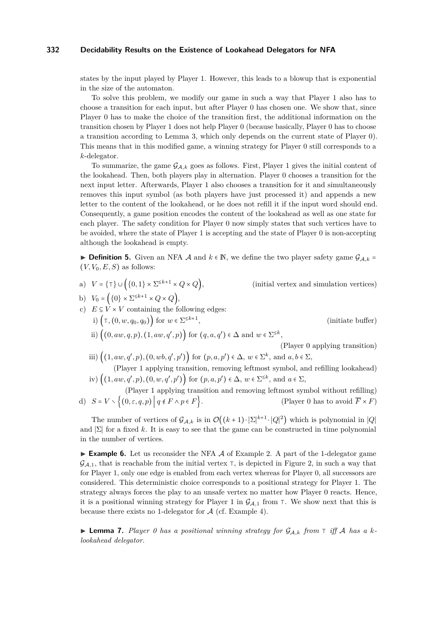states by the input played by Player 1. However, this leads to a blowup that is exponential in the size of the automaton.

To solve this problem, we modify our game in such a way that Player 1 also has to choose a transition for each input, but after Player 0 has chosen one. We show that, since Player 0 has to make the choice of the transition first, the additional information on the transition chosen by Player 1 does not help Player 0 (because basically, Player 0 has to choose a transition according to Lemma [3,](#page-3-1) which only depends on the current state of Player 0). This means that in this modified game, a winning strategy for Player 0 still corresponds to a *k*-delegator.

To summarize, the game  $\mathcal{G}_{A,k}$  goes as follows. First, Player 1 gives the initial content of the lookahead. Then, both players play in alternation. Player 0 chooses a transition for the next input letter. Afterwards, Player 1 also chooses a transition for it and simultaneously removes this input symbol (as both players have just processed it) and appends a new letter to the content of the lookahead, or he does not refill it if the input word should end. Consequently, a game position encodes the content of the lookahead as well as one state for each player. The safety condition for Player 0 now simply states that such vertices have to be avoided, where the state of Player 1 is accepting and the state of Player 0 is non-accepting although the lookahead is empty.

**► Definition 5.** Given an NFA A and  $k \in \mathbb{N}$ , we define the two player safety game  $\mathcal{G}_{4,k} =$  $(V, V_0, E, S)$  as follows:

a)  $V = \{\top\} \cup \left( \{0,1\} \times \Sigma^{\leq k+1} \times Q \times Q \right),$ 

```
(i<sup>nitial vertex and simulation vertices)</sup>
```
- b)  $V_0 = (\{0\} \times \Sigma^{\leq k+1} \times Q \times Q),$
- c)  $E \subseteq V \times V$  containing the following edges: i)  $(⊓, (0, w, q_0, q_0))$  for  $w ∈ \Sigma^{\leq k+1}$ , (initiate buffer) ii)  $((0, aw, q, p), (1, aw, q', p))$  for  $(q, a, q') \in \Delta$  and  $w \in \Sigma^{\leq k}$ ,
	- (Player 0 applying transition) iii)  $((1, aw, q', p), (0, wb, q', p'))$  for  $(p, a, p') \in \Delta$ ,  $w \in \Sigma^k$ , and  $a, b \in \Sigma$ , (Player 1 applying transition, removing leftmost symbol, and refilling lookahead)
	- iv)  $((1, aw, q', p), (0, w, q', p'))$  for  $(p, a, p') \in ∆, w \in \Sigma^{\leq k}$ , and  $a \in \Sigma$ , (Player 1 applying transition and removing leftmost symbol without refilling)
- d)  $S = V \setminus \{(0, \varepsilon, q, p) \mid q \notin F \land p \in F\}.$  (Player 0 has to avoid  $F \times F$ )

The number of vertices of  $\mathcal{G}_{\mathcal{A},k}$  is in  $\mathcal{O}((k+1)\cdot|\Sigma|^{k+1}\cdot|Q|^2)$  which is polynomial in  $|Q|$ and  $|\Sigma|$  for a fixed k. It is easy to see that the game can be constructed in time polynomial in the number of vertices.

**Example 6.** Let us reconsider the NFA  $\mathcal A$  of Example [2.](#page-2-2) A part of the 1-delegator game  $\mathcal{G}_{A,1}$ , that is reachable from the initial vertex  $\tau$ , is depicted in Figure [2,](#page-6-0) in such a way that for Player 1, only one edge is enabled from each vertex whereas for Player 0, all successors are considered. This deterministic choice corresponds to a positional strategy for Player 1. The strategy always forces the play to an unsafe vertex no matter how Player 0 reacts. Hence, it is a positional winning strategy for Player 1 in  $\mathcal{G}_{A,1}$  from  $\top$ . We show next that this is because there exists no 1-delegator for  $A$  (cf. Example [4\)](#page-3-2).

<span id="page-5-0"></span><sup>I</sup> **Lemma 7.** *Player 0 has a positional winning strategy for* <sup>G</sup>A*,k from* <sup>⊺</sup> *iff* <sup>A</sup> *has a <sup>k</sup>lookahead delegator.*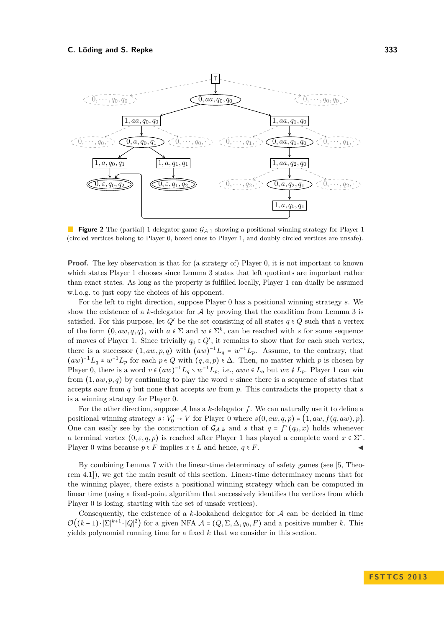<span id="page-6-0"></span>

**Figure 2** The (partial) 1-delegator game  $\mathcal{G}_{A,1}$  showing a positional winning strategy for Player 1 (circled vertices belong to Player 0, boxed ones to Player 1, and doubly circled vertices are unsafe).

**Proof.** The key observation is that for (a strategy of) Player 0, it is not important to known which states Player 1 chooses since Lemma [3](#page-3-1) states that left quotients are important rather than exact states. As long as the property is fulfilled locally, Player 1 can dually be assumed w.l.o.g. to just copy the choices of his opponent.

For the left to right direction, suppose Player 0 has a positional winning strategy *s*. We show the existence of a  $k$ -delegator for  $A$  by proving that the condition from Lemma [3](#page-3-1) is satisfied. For this purpose, let  $Q'$  be the set consisting of all states  $q \in Q$  such that a vertex of the form  $(0, aw, q, q)$ , with  $a \in \Sigma$  and  $w \in \Sigma^k$ , can be reached with *s* for some sequence of moves of Player 1. Since trivially  $q_0 \in Q'$ , it remains to show that for each such vertex, there is a successor  $(1, aw, p, q)$  with  $(aw)^{-1}L_q = w^{-1}L_p$ . Assume, to the contrary, that  $(aw)^{-1}L_q \neq w^{-1}L_p$  for each  $p \in Q$  with  $(q, a, p) \in \Delta$ . Then, no matter which p is chosen by Player 0, there is a word  $v \in (aw)^{-1}L_q \setminus w^{-1}L_p$ , i.e.,  $awv \in L_q$  but  $wv \notin L_p$ . Player 1 can win from  $(1, aw, p, q)$  by continuing to play the word v since there is a sequence of states that accepts *awv* from *q* but none that accepts *wv* from *p*. This contradicts the property that *s* is a winning strategy for Player 0.

For the other direction, suppose  $A$  has a  $k$ -delegator  $f$ . We can naturally use it to define a positional winning strategy  $s: V'_0 \to V$  for Player 0 where  $s(0, aw, q, p) = (1, aw, f(q, aw), p)$ . One can easily see by the construction of  $\mathcal{G}_{\mathcal{A},k}$  and *s* that  $q = f^*(q_0, x)$  holds whenever a terminal vertex  $(0, \varepsilon, q, p)$  is reached after Player 1 has played a complete word  $x \in \Sigma^*$ . Player 0 wins because  $p \in F$  implies  $x \in L$  and hence,  $q \in F$ .

By combining Lemma [7](#page-5-0) with the linear-time determinacy of safety games (see [\[5,](#page-11-5) Theorem 4.1]), we get the main result of this section. Linear-time determinacy means that for the winning player, there exists a positional winning strategy which can be computed in linear time (using a fixed-point algorithm that successively identifies the vertices from which Player 0 is losing, starting with the set of unsafe vertices).

Consequently, the existence of a *k*-lookahead delegator for A can be decided in time  $\mathcal{O}((k+1)\cdot|\Sigma|^{k+1}\cdot|Q|^2)$  for a given NFA  $\mathcal{A} = (Q, \Sigma, \Delta, q_0, F)$  and a positive number k. This yields polynomial running time for a fixed *k* that we consider in this section.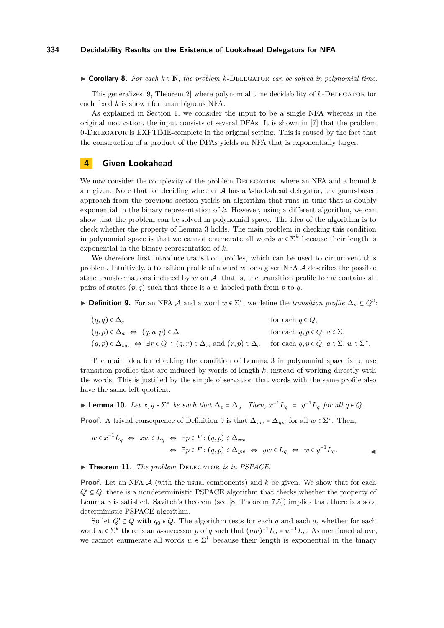$\triangleright$  **Corollary 8.** For each  $k \in \mathbb{N}$ , the problem  $k$ -DELEGATOR can be solved in polynomial time.

This generalizes [\[9,](#page-11-0) Theorem 2] where polynomial time decidability of *k*-Delegator for each fixed *k* is shown for unambiguous NFA.

As explained in Section [1,](#page-0-0) we consider the input to be a single NFA whereas in the original motivation, the input consists of several DFAs. It is shown in [\[7\]](#page-11-6) that the problem 0-Delegator is EXPTIME-complete in the original setting. This is caused by the fact that the construction of a product of the DFAs yields an NFA that is exponentially larger.

# <span id="page-7-0"></span>**4 Given Lookahead**

We now consider the complexity of the problem DELEGATOR, where an NFA and a bound k are given. Note that for deciding whether  $A$  has a  $k$ -lookahead delegator, the game-based approach from the previous section yields an algorithm that runs in time that is doubly exponential in the binary representation of *k*. However, using a different algorithm, we can show that the problem can be solved in polynomial space. The idea of the algorithm is to check whether the property of Lemma [3](#page-3-1) holds. The main problem in checking this condition in polynomial space is that we cannot enumerate all words  $w \in \Sigma^k$  because their length is exponential in the binary representation of *k*.

We therefore first introduce transition profiles, which can be used to circumvent this problem. Intuitively, a transition profile of a word *w* for a given NFA A describes the possible state transformations induced by  $w$  on  $A$ , that is, the transition profile for  $w$  contains all pairs of states  $(p, q)$  such that there is a *w*-labeled path from *p* to *q*.

<span id="page-7-1"></span>► **Definition 9.** For an NFA A and a word  $w \in \Sigma^*$ , we define the *transition profile*  $\Delta_w \subseteq Q^2$ :

| $(q,q) \in \Delta_{\varepsilon}$                                                                                                                                     | for each $q \in Q$ ,                  |
|----------------------------------------------------------------------------------------------------------------------------------------------------------------------|---------------------------------------|
| $(q,p) \in \Delta_a \Leftrightarrow (q,a,p) \in \Delta$                                                                                                              | for each $q, p \in Q, a \in \Sigma$ , |
| $(q, p) \in \Delta_{wa} \Leftrightarrow \exists r \in Q : (q, r) \in \Delta_w$ and $(r, p) \in \Delta_a$ for each $q, p \in Q$ , $a \in \Sigma$ , $w \in \Sigma^*$ . |                                       |

The main idea for checking the condition of Lemma [3](#page-3-1) in polynomial space is to use transition profiles that are induced by words of length *k*, instead of working directly with the words. This is justified by the simple observation that words with the same profile also have the same left quotient.

<span id="page-7-2"></span>► **Lemma 10.** *Let*  $x, y \in \Sigma^*$  *be such that*  $\Delta_x = \Delta_y$ *. Then,*  $x^{-1}L_q = y^{-1}L_q$  *for all*  $q \in Q$ *.* 

**Proof.** A trivial consequence of Definition [9](#page-7-1) is that  $\Delta_{xw} = \Delta_{yw}$  for all  $w \in \Sigma^*$ . Then,

$$
w \in x^{-1}L_q \iff xw \in L_q \iff \exists p \in F : (q, p) \in \Delta_{xw}
$$
  

$$
\iff \exists p \in F : (q, p) \in \Delta_{yw} \iff yw \in L_q \iff w \in y^{-1}L_q.
$$

#### <span id="page-7-3"></span>▶ **Theorem 11.** *The problem* DELEGATOR *is in PSPACE*.

**Proof.** Let an NFA A (with the usual components) and k be given. We show that for each  $Q' \subseteq Q$ , there is a nondeterministic PSPACE algorithm that checks whether the property of Lemma [3](#page-3-1) is satisfied. Savitch's theorem (see [\[8,](#page-11-7) Theorem 7.5]) implies that there is also a deterministic PSPACE algorithm.

So let  $Q' \subseteq Q$  with  $q_0 \in Q$ . The algorithm tests for each q and each a, whether for each word  $w \in \Sigma^k$  there is an *a*-successor *p* of *q* such that  $(aw)^{-1}L_q = w^{-1}L_p$ . As mentioned above, we cannot enumerate all words  $w \in \Sigma^k$  because their length is exponential in the binary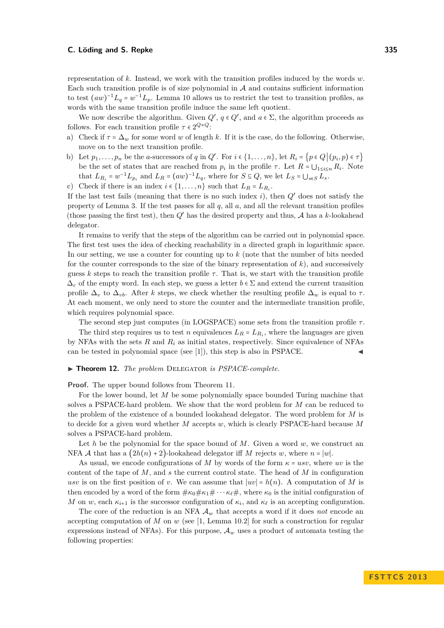### **C. Löding and S. Repke 335**

representation of *k*. Instead, we work with the transition profiles induced by the words *w*. Each such transition profile is of size polynomial in  $A$  and contains sufficient information to test  $(aw)^{-1}L_q = w^{-1}L_p$ . Lemma [10](#page-7-2) allows us to restrict the test to transition profiles, as words with the same transition profile induce the same left quotient.

We now describe the algorithm. Given  $Q'$ ,  $q \in Q'$ , and  $a \in \Sigma$ , the algorithm proceeds as follows. For each transition profile  $\tau \in 2^{Q \times Q}$ :

- a) Check if  $\tau = \Delta_w$  for some word *w* of length *k*. If it is the case, do the following. Otherwise, move on to the next transition profile.
- b) Let  $p_1, \ldots, p_n$  be the *a*-successors of *q* in  $Q'$ . For  $i \in \{1, \ldots, n\}$ , let  $R_i = \{p \in Q | (p_i, p) \in \tau\}$ be the set of states that are reached from  $p_i$  in the profile  $\tau$ . Let  $R = \bigcup_{1 \leq i \leq n} R_i$ . Note that  $L_{R_i} = w^{-1}L_{p_i}$  and  $L_R = (aw)^{-1}L_q$ , where for  $S \subseteq Q$ , we let  $L_S = \bigcup_{s \in S} L_s$ .
- c) Check if there is an index  $i \in \{1, \ldots, n\}$  such that  $L_R = L_{R_i}$ .

If the last test fails (meaning that there is no such index *i*), then *Q*′ does not satisfy the property of Lemma [3.](#page-3-1) If the test passes for all  $q$ , all  $a$ , and all the relevant transition profiles (those passing the first test), then *Q*′ has the desired property and thus, A has a *k*-lookahead delegator.

It remains to verify that the steps of the algorithm can be carried out in polynomial space. The first test uses the idea of checking reachability in a directed graph in logarithmic space. In our setting, we use a counter for counting up to k (note that the number of bits needed for the counter corresponds to the size of the binary representation of  $k$ ), and successively guess *k* steps to reach the transition profile  $\tau$ . That is, we start with the transition profile  $\Delta_{\varepsilon}$  of the empty word. In each step, we guess a letter  $b \in \Sigma$  and extend the current transition profile  $\Delta_v$  to  $\Delta_{vb}$ . After *k* steps, we check whether the resulting profile  $\Delta_w$  is equal to  $\tau$ . At each moment, we only need to store the counter and the intermediate transition profile, which requires polynomial space.

The second step just computes (in LOGSPACE) some sets from the transition profile  $\tau$ .

The third step requires us to test *n* equivalences  $L_R = L_{R_i}$ , where the languages are given by NFAs with the sets  $R$  and  $R_i$  as initial states, respectively. Since equivalence of NFAs can be tested in polynomial space (see  $[1]$ ), this step is also in PSPACE.

<span id="page-8-0"></span>▶ **Theorem 12.** *The problem* DELEGATOR *is PSPACE-complete.* 

**Proof.** The upper bound follows from Theorem [11.](#page-7-3)

For the lower bound, let *M* be some polynomially space bounded Turing machine that solves a PSPACE-hard problem. We show that the word problem for *M* can be reduced to the problem of the existence of a bounded lookahead delegator. The word problem for *M* is to decide for a given word whether *M* accepts *w*, which is clearly PSPACE-hard because *M* solves a PSPACE-hard problem.

Let  $h$  be the polynomial for the space bound of  $M$ . Given a word  $w$ , we construct an NFA A that has a  $(2h(n) + 2)$ -lookahead delegator if M rejects w, where  $n = |w|$ .

As usual, we encode configurations of *M* by words of the form  $\kappa = usv$ , where *uv* is the content of the tape of *M*, and *s* the current control state. The head of *M* in configuration *usv* is on the first position of *v*. We can assume that  $|uv| = h(n)$ . A computation of *M* is then encoded by a word of the form  $\#\kappa_0\#\kappa_1\#\cdots\kappa_\ell\#$ , where  $\kappa_0$  is the initial configuration of *M* on *w*, each  $\kappa_{i+1}$  is the successor configuration of  $\kappa_i$ , and  $\kappa_\ell$  is an accepting configuration.

The core of the reduction is an NFA  $A_w$  that accepts a word if it does *not* encode an accepting computation of *M* on *w* (see [\[1,](#page-11-8) Lemma 10.2] for such a construction for regular expressions instead of NFAs). For this purpose,  $A_w$  uses a product of automata testing the following properties: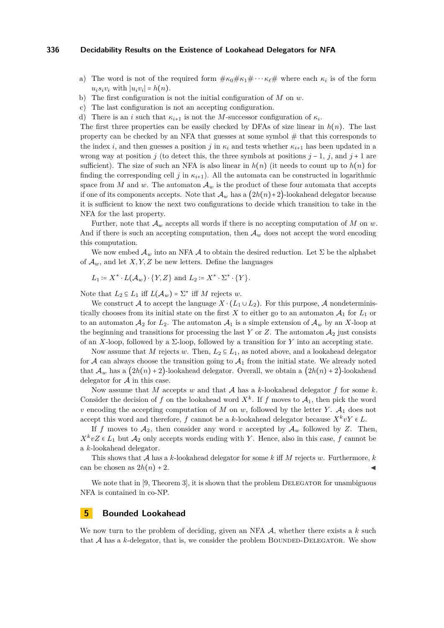- a) The word is not of the required form  $\#\kappa_0\#\kappa_1\#\cdots \kappa_\ell\#\,$  where each  $\kappa_i$  is of the form  $u_i s_i v_i$  with  $|u_i v_i| = h(n)$ .
- b) The first configuration is not the initial configuration of *M* on *w*.
- c) The last configuration is not an accepting configuration.
- d) There is an *i* such that  $\kappa_{i+1}$  is not the *M*-successor configuration of  $\kappa_i$ .

The first three properties can be easily checked by DFAs of size linear in  $h(n)$ . The last property can be checked by an NFA that guesses at some symbol  $#$  that this corresponds to the index *i*, and then guesses a position *j* in  $\kappa_i$  and tests whether  $\kappa_{i+1}$  has been updated in a wrong way at position *j* (to detect this, the three symbols at positions  $j - 1$ ,  $j$ , and  $j + 1$  are sufficient). The size of such an NFA is also linear in  $h(n)$  (it needs to count up to  $h(n)$  for finding the corresponding cell *j* in  $\kappa_{i+1}$ ). All the automata can be constructed in logarithmic space from *M* and *w*. The automaton  $\mathcal{A}_w$  is the product of these four automata that accepts if one of its components accepts. Note that  $\mathcal{A}_w$  has a  $(2h(n)+2)$ -lookahead delegator because it is sufficient to know the next two configurations to decide which transition to take in the NFA for the last property.

Further, note that  $\mathcal{A}_w$  accepts all words if there is no accepting computation of *M* on *w*. And if there is such an accepting computation, then  $A_w$  does not accept the word encoding this computation.

We now embed  $\mathcal{A}_w$  into an NFA  $\mathcal A$  to obtain the desired reduction. Let  $\Sigma$  be the alphabet of  $\mathcal{A}_w$ , and let *X, Y, Z* be new letters. Define the languages

$$
L_1 \coloneqq X^* \cdot L(\mathcal{A}_w) \cdot \{Y, Z\} \text{ and } L_2 \coloneqq X^* \cdot \Sigma^* \cdot \{Y\}.
$$

Note that  $L_2 \subseteq L_1$  iff  $L(\mathcal{A}_w) = \Sigma^*$  iff M rejects w.

We construct A to accept the language  $X \cdot (L_1 \cup L_2)$ . For this purpose, A nondeterministically chooses from its initial state on the first  $X$  to either go to an automaton  $\mathcal{A}_1$  for  $L_1$  or to an automaton  $\mathcal{A}_2$  for  $L_2$ . The automaton  $\mathcal{A}_1$  is a simple extension of  $\mathcal{A}_w$  by an X-loop at the beginning and transitions for processing the last  $Y$  or  $Z$ . The automaton  $\mathcal{A}_2$  just consists of an *X*-loop, followed by a  $\Sigma$ -loop, followed by a transition for *Y* into an accepting state.

Now assume that *M* rejects *w*. Then,  $L_2 \subseteq L_1$ , as noted above, and a lookahead delegator for  $A$  can always choose the transition going to  $A_1$  from the initial state. We already noted that  $\mathcal{A}_w$  has a  $(2h(n)+2)$ -lookahead delegator. Overall, we obtain a  $(2h(n)+2)$ -lookahead delegator for A in this case.

Now assume that *M* accepts *w* and that A has a *k*-lookahead delegator *f* for some *k*. Consider the decision of *f* on the lookahead word  $X^k$ . If *f* moves to  $A_1$ , then pick the word *v* encoding the accepting computation of *M* on *w*, followed by the letter *Y*.  $A_1$  does not accept this word and therefore, *f* cannot be a *k*-lookahead delegator because  $X^k v Y \in L$ .

If *f* moves to  $A_2$ , then consider any word *v* accepted by  $A_w$  followed by *Z*. Then,  $X^k vZ \in L_1$  but  $A_2$  only accepts words ending with *Y*. Hence, also in this case, *f* cannot be a *k*-lookahead delegator.

This shows that A has a *k*-lookahead delegator for some *k* iff *M* rejects *w*. Furthermore, *k* can be chosen as  $2h(n) + 2$ .

We note that in  $[9,$  Theorem 3, it is shown that the problem DELEGATOR for unambiguous NFA is contained in co-NP.

# <span id="page-9-0"></span>**5 Bounded Lookahead**

We now turn to the problem of deciding, given an NFA A, whether there exists a k such that  $A$  has a  $k$ -delegator, that is, we consider the problem BOUNDED-DELEGATOR. We show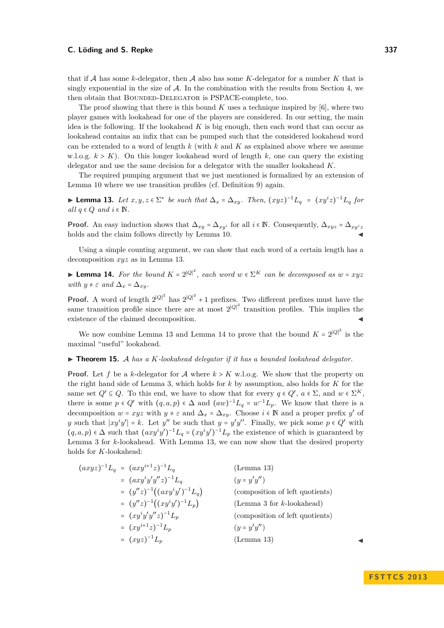### **C. Löding and S. Repke 337**

that if A has some *k*-delegator, then A also has some *K*-delegator for a number *K* that is singly exponential in the size of  $\mathcal{A}$ . In the combination with the results from Section [4,](#page-7-0) we then obtain that BOUNDED-DELEGATOR is PSPACE-complete, too.

The proof showing that there is this bound *K* uses a technique inspired by [\[6\]](#page-11-9), where two player games with lookahead for one of the players are considered. In our setting, the main idea is the following. If the lookahead *K* is big enough, then each word that can occur as lookahead contains an infix that can be pumped such that the considered lookahead word can be extended to a word of length *k* (with *k* and *K* as explained above where we assume w.l.o.g.  $k > K$ ). On this longer lookahead word of length  $k$ , one can query the existing delegator and use the same decision for a delegator with the smaller lookahead *K*.

The required pumping argument that we just mentioned is formalized by an extension of Lemma [10](#page-7-2) where we use transition profiles (cf. Definition [9\)](#page-7-1) again.

<span id="page-10-0"></span>► **Lemma 13.** Let  $x, y, z \in \Sigma^*$  be such that  $\Delta_x = \Delta_{xy}$ . Then,  $(xyz)^{-1}L_q = (xy^iz)^{-1}L_q$  for  $all \, q \in Q \, and \, i \in \mathbb{N}.$ 

**Proof.** An easy induction shows that  $\Delta_{xy} = \Delta_{xy}$ <sup>*i*</sup> for all *i* ∈ N. Consequently,  $\Delta_{xyz} = \Delta_{xy}$ <sup>*i*</sup>z holds and the claim follows directly by Lemma [10.](#page-7-2)

Using a simple counting argument, we can show that each word of a certain length has a decomposition *xyz* as in Lemma [13.](#page-10-0)

<span id="page-10-1"></span>► **Lemma 14.** For the bound  $K = 2^{|Q|^2}$ , each word  $w \in \Sigma^K$  can be decomposed as  $w = xyz$ *with*  $y \neq \varepsilon$  *and*  $\Delta_x = \Delta_{xy}$ *.* 

**Proof.** A word of length  $2^{|Q|^2}$  has  $2^{|Q|^2} + 1$  prefixes. Two different prefixes must have the same transition profile since there are at most  $2^{|Q|^2}$  transition profiles. This implies the existence of the claimed decomposition.

We now combine Lemma [13](#page-10-0) and Lemma [14](#page-10-1) to prove that the bound  $K = 2^{|Q|^2}$  is the maximal "useful" lookahead.

#### ▶ **Theorem 15.** A *has a K-lookahead delegator if it has a bounded lookahead delegator.*

**Proof.** Let f be a *k*-delegator for A where  $k > K$  w.l.o.g. We show that the property on the right hand side of Lemma [3,](#page-3-1) which holds for *k* by assumption, also holds for *K* for the same set  $Q' \subseteq Q$ . To this end, we have to show that for every  $q \in Q'$ ,  $a \in \Sigma$ , and  $w \in \Sigma^K$ , there is some  $p \in Q'$  with  $(q, a, p) \in \Delta$  and  $(aw)^{-1}L_q = w^{-1}L_p$ . We know that there is a decomposition  $w = xyz$  with  $y \neq \varepsilon$  and  $\Delta_x = \Delta_{xy}$ . Choose  $i \in \mathbb{N}$  and a proper prefix  $y'$  of *y* such that  $|xy^iy'| = k$ . Let *y*<sup>*''*</sup> be such that  $y = y'y''$ . Finally, we pick some  $p \in Q'$  with  $(q, a, p) \in \Delta$  such that  $(axy<sup>i</sup>y')<sup>-1</sup>L<sub>q</sub> = (xy<sup>i</sup>y')<sup>-1</sup>L<sub>p</sub>$  the existence of which is guaranteed by Lemma [3](#page-3-1) for *k*-lookahead. With Lemma [13,](#page-10-0) we can now show that the desired property holds for *K*-lookahead:

$$
(axyz)^{-1}L_q = (axy^{i+1}z)^{-1}L_q
$$
 (Lemma 13)  
\n
$$
= (axy^{i}y'y''z)^{-1}L_q
$$
 (y = y'y'')  
\n
$$
= (y''z)^{-1}((axy^{i}y')^{-1}L_q)
$$
 (composition of left quotients)  
\n
$$
= (y''z)^{-1}((xy^{i}y')^{-1}L_p)
$$
 (Lemma 3 for k-lookahead)  
\n
$$
= (xy^{i}y'y''z)^{-1}L_p
$$
 (composition of left quotients)  
\n
$$
= (xy^{i+1}z)^{-1}L_p
$$
 (composition of left quotients)  
\n
$$
(y = y'y'')
$$
  
\n
$$
(y = y'y'')
$$
 (Lemma 13)